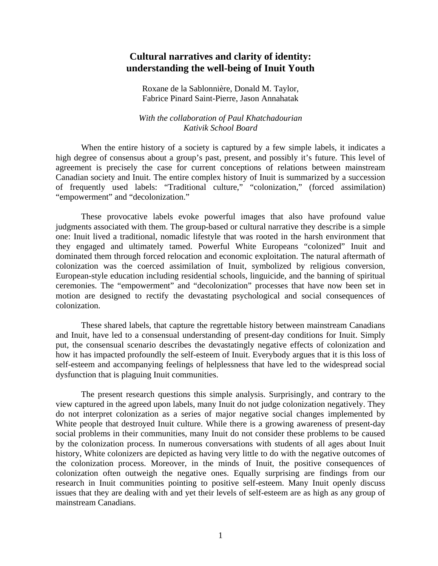# **Cultural narratives and clarity of identity: understanding the well-being of Inuit Youth**

Roxane de la Sablonnière, Donald M. Taylor, Fabrice Pinard Saint-Pierre, Jason Annahatak

*With the collaboration of Paul Khatchadourian Kativik School Board*

When the entire history of a society is captured by a few simple labels, it indicates a high degree of consensus about a group's past, present, and possibly it's future. This level of agreement is precisely the case for current conceptions of relations between mainstream Canadian society and Inuit. The entire complex history of Inuit is summarized by a succession of frequently used labels: "Traditional culture," "colonization," (forced assimilation) "empowerment" and "decolonization."

 These provocative labels evoke powerful images that also have profound value judgments associated with them. The group-based or cultural narrative they describe is a simple one: Inuit lived a traditional, nomadic lifestyle that was rooted in the harsh environment that they engaged and ultimately tamed. Powerful White Europeans "colonized" Inuit and dominated them through forced relocation and economic exploitation. The natural aftermath of colonization was the coerced assimilation of Inuit, symbolized by religious conversion, European-style education including residential schools, linguicide, and the banning of spiritual ceremonies. The "empowerment" and "decolonization" processes that have now been set in motion are designed to rectify the devastating psychological and social consequences of colonization.

 These shared labels, that capture the regrettable history between mainstream Canadians and Inuit, have led to a consensual understanding of present-day conditions for Inuit. Simply put, the consensual scenario describes the devastatingly negative effects of colonization and how it has impacted profoundly the self-esteem of Inuit. Everybody argues that it is this loss of self-esteem and accompanying feelings of helplessness that have led to the widespread social dysfunction that is plaguing Inuit communities.

 The present research questions this simple analysis. Surprisingly, and contrary to the view captured in the agreed upon labels, many Inuit do not judge colonization negatively. They do not interpret colonization as a series of major negative social changes implemented by White people that destroyed Inuit culture. While there is a growing awareness of present-day social problems in their communities, many Inuit do not consider these problems to be caused by the colonization process. In numerous conversations with students of all ages about Inuit history, White colonizers are depicted as having very little to do with the negative outcomes of the colonization process. Moreover, in the minds of Inuit, the positive consequences of colonization often outweigh the negative ones. Equally surprising are findings from our research in Inuit communities pointing to positive self-esteem. Many Inuit openly discuss issues that they are dealing with and yet their levels of self-esteem are as high as any group of mainstream Canadians.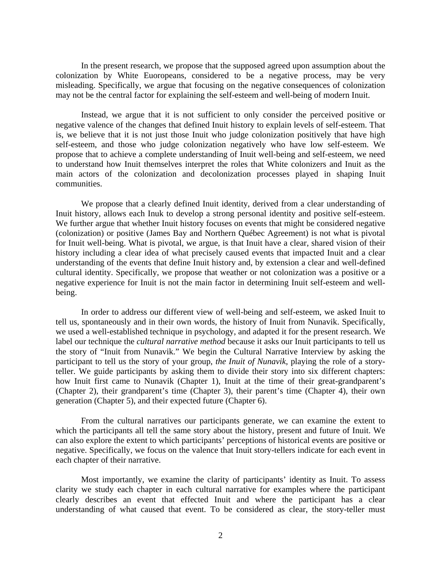In the present research, we propose that the supposed agreed upon assumption about the colonization by White Euoropeans, considered to be a negative process, may be very misleading. Specifically, we argue that focusing on the negative consequences of colonization may not be the central factor for explaining the self-esteem and well-being of modern Inuit.

Instead, we argue that it is not sufficient to only consider the perceived positive or negative valence of the changes that defined Inuit history to explain levels of self-esteem. That is, we believe that it is not just those Inuit who judge colonization positively that have high self-esteem, and those who judge colonization negatively who have low self-esteem. We propose that to achieve a complete understanding of Inuit well-being and self-esteem, we need to understand how Inuit themselves interpret the roles that White colonizers and Inuit as the main actors of the colonization and decolonization processes played in shaping Inuit communities.

We propose that a clearly defined Inuit identity, derived from a clear understanding of Inuit history, allows each Inuk to develop a strong personal identity and positive self-esteem. We further argue that whether Inuit history focuses on events that might be considered negative (colonization) or positive (James Bay and Northern Québec Agreement) is not what is pivotal for Inuit well-being. What is pivotal, we argue, is that Inuit have a clear, shared vision of their history including a clear idea of what precisely caused events that impacted Inuit and a clear understanding of the events that define Inuit history and, by extension a clear and well-defined cultural identity. Specifically, we propose that weather or not colonization was a positive or a negative experience for Inuit is not the main factor in determining Inuit self-esteem and wellbeing.

In order to address our different view of well-being and self-esteem, we asked Inuit to tell us, spontaneously and in their own words, the history of Inuit from Nunavik. Specifically, we used a well-established technique in psychology, and adapted it for the present research. We label our technique the *cultural narrative method* because it asks our Inuit participants to tell us the story of "Inuit from Nunavik." We begin the Cultural Narrative Interview by asking the participant to tell us the story of your group, *the Inuit of Nunavik*, playing the role of a storyteller. We guide participants by asking them to divide their story into six different chapters: how Inuit first came to Nunavik (Chapter 1), Inuit at the time of their great-grandparent's (Chapter 2), their grandparent's time (Chapter 3), their parent's time (Chapter 4), their own generation (Chapter 5), and their expected future (Chapter 6).

From the cultural narratives our participants generate, we can examine the extent to which the participants all tell the same story about the history, present and future of Inuit. We can also explore the extent to which participants' perceptions of historical events are positive or negative. Specifically, we focus on the valence that Inuit story-tellers indicate for each event in each chapter of their narrative.

Most importantly, we examine the clarity of participants' identity as Inuit. To assess clarity we study each chapter in each cultural narrative for examples where the participant clearly describes an event that effected Inuit and where the participant has a clear understanding of what caused that event. To be considered as clear, the story-teller must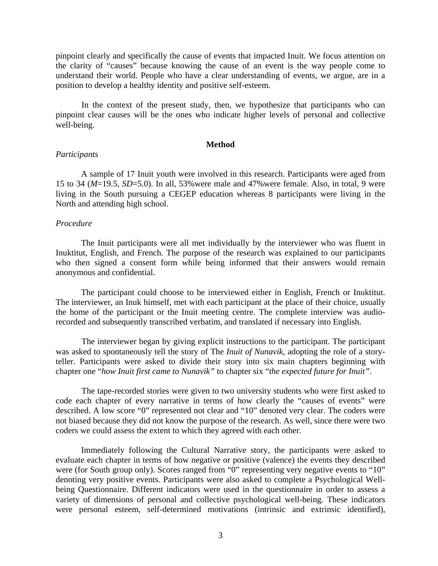pinpoint clearly and specifically the cause of events that impacted Inuit. We focus attention on the clarity of "causes" because knowing the cause of an event is the way people come to understand their world. People who have a clear understanding of events, we argue, are in a position to develop a healthy identity and positive self-esteem.

In the context of the present study, then, we hypothesize that participants who can pinpoint clear causes will be the ones who indicate higher levels of personal and collective well-being.

#### **Method**

## *Participants*

A sample of 17 Inuit youth were involved in this research. Participants were aged from 15 to 34 (*M*=19.5, *SD*=5.0). In all, 53%were male and 47%were female. Also, in total, 9 were living in the South pursuing a CEGEP education whereas 8 participants were living in the North and attending high school.

### *Procedure*

The Inuit participants were all met individually by the interviewer who was fluent in Inuktitut, English, and French. The purpose of the research was explained to our participants who then signed a consent form while being informed that their answers would remain anonymous and confidential.

The participant could choose to be interviewed either in English, French or Inuktitut. The interviewer, an Inuk himself, met with each participant at the place of their choice, usually the home of the participant or the Inuit meeting centre. The complete interview was audiorecorded and subsequently transcribed verbatim, and translated if necessary into English.

The interviewer began by giving explicit instructions to the participant. The participant was asked to spontaneously tell the story of The *Inuit of Nunavik*, adopting the role of a storyteller. Participants were asked to divide their story into six main chapters beginning with chapter one "*how Inuit first came to Nunavik"* to chapter six "*the expected future for Inuit"*.

The tape-recorded stories were given to two university students who were first asked to code each chapter of every narrative in terms of how clearly the "causes of events" were described. A low score "0" represented not clear and "10" denoted very clear. The coders were not biased because they did not know the purpose of the research. As well, since there were two coders we could assess the extent to which they agreed with each other.

Immediately following the Cultural Narrative story, the participants were asked to evaluate each chapter in terms of how negative or positive (valence) the events they described were (for South group only). Scores ranged from "0" representing very negative events to "10" denoting very positive events. Participants were also asked to complete a Psychological Wellbeing Questionnaire. Different indicators were used in the questionnaire in order to assess a variety of dimensions of personal and collective psychological well-being. These indicators were personal esteem, self-determined motivations (intrinsic and extrinsic identified),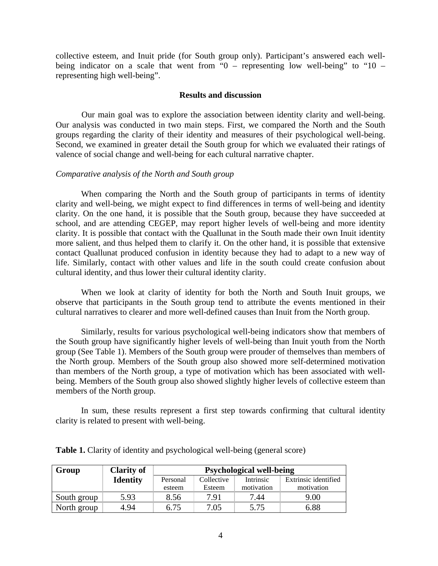collective esteem, and Inuit pride (for South group only). Participant's answered each wellbeing indicator on a scale that went from " $0$  – representing low well-being" to " $10$  – representing high well-being".

### **Results and discussion**

Our main goal was to explore the association between identity clarity and well-being. Our analysis was conducted in two main steps. First, we compared the North and the South groups regarding the clarity of their identity and measures of their psychological well-being. Second, we examined in greater detail the South group for which we evaluated their ratings of valence of social change and well-being for each cultural narrative chapter.

### *Comparative analysis of the North and South group*

When comparing the North and the South group of participants in terms of identity clarity and well-being, we might expect to find differences in terms of well-being and identity clarity. On the one hand, it is possible that the South group, because they have succeeded at school, and are attending CEGEP, may report higher levels of well-being and more identity clarity. It is possible that contact with the Quallunat in the South made their own Inuit identity more salient, and thus helped them to clarify it. On the other hand, it is possible that extensive contact Quallunat produced confusion in identity because they had to adapt to a new way of life. Similarly, contact with other values and life in the south could create confusion about cultural identity, and thus lower their cultural identity clarity.

When we look at clarity of identity for both the North and South Inuit groups, we observe that participants in the South group tend to attribute the events mentioned in their cultural narratives to clearer and more well-defined causes than Inuit from the North group.

 Similarly, results for various psychological well-being indicators show that members of the South group have significantly higher levels of well-being than Inuit youth from the North group (See Table 1). Members of the South group were prouder of themselves than members of the North group. Members of the South group also showed more self-determined motivation than members of the North group, a type of motivation which has been associated with wellbeing. Members of the South group also showed slightly higher levels of collective esteem than members of the North group.

 In sum, these results represent a first step towards confirming that cultural identity clarity is related to present with well-being.

| Group       | <b>Clarity of</b> | <b>Psychological well-being</b> |            |                  |                      |
|-------------|-------------------|---------------------------------|------------|------------------|----------------------|
|             | <b>Identity</b>   | Personal                        | Collective | <b>Intrinsic</b> | Extrinsic identified |
|             |                   | esteem                          | Esteem     | motivation       | motivation           |
| South group | 5.93              | 8.56                            | 7.91       | 7.44             | 9.00                 |
| North group | 4.94              | 6.75                            | 7.05       | 5.75             | 6.88                 |

**Table 1.** Clarity of identity and psychological well-being (general score)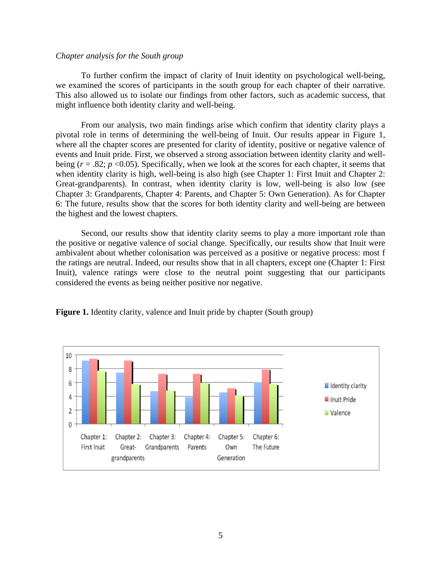#### *Chapter analysis for the South group*

To further confirm the impact of clarity of Inuit identity on psychological well-being, we examined the scores of participants in the south group for each chapter of their narrative. This also allowed us to isolate our findings from other factors, such as academic success, that might influence both identity clarity and well-being.

From our analysis, two main findings arise which confirm that identity clarity plays a pivotal role in terms of determining the well-being of Inuit. Our results appear in Figure 1, where all the chapter scores are presented for clarity of identity, positive or negative valence of events and Inuit pride. First, we observed a strong association between identity clarity and wellbeing  $(r = .82; p < 0.05)$ . Specifically, when we look at the scores for each chapter, it seems that when identity clarity is high, well-being is also high (see Chapter 1: First Inuit and Chapter 2: Great-grandparents). In contrast, when identity clarity is low, well-being is also low (see Chapter 3: Grandparents, Chapter 4: Parents, and Chapter 5: Own Generation). As for Chapter 6: The future, results show that the scores for both identity clarity and well-being are between the highest and the lowest chapters.

Second, our results show that identity clarity seems to play a more important role than the positive or negative valence of social change. Specifically, our results show that Inuit were ambivalent about whether colonisation was perceived as a positive or negative process: most f the ratings are neutral. Indeed, our results show that in all chapters, except one (Chapter 1: First Inuit), valence ratings were close to the neutral point suggesting that our participants considered the events as being neither positive nor negative.



**Figure 1.** Identity clarity, valence and Inuit pride by chapter (South group)